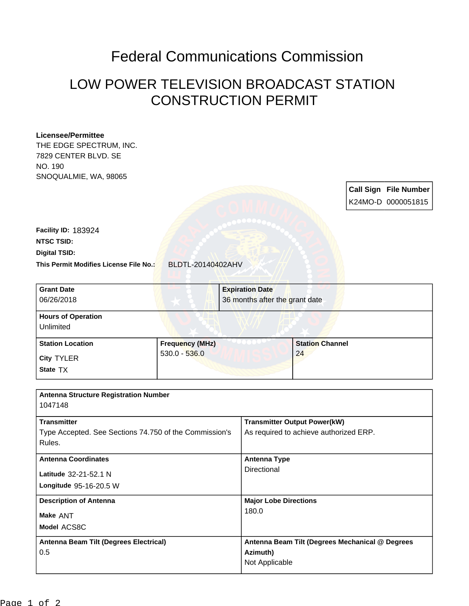## Federal Communications Commission

## LOW POWER TELEVISION BROADCAST STATION CONSTRUCTION PERMIT

## **Licensee/Permittee**

THE EDGE SPECTRUM, INC. 7829 CENTER BLVD. SE NO. 190 SNOQUALMIE, WA, 98065

> **Call Sign File Number** K24MO-D 0000051815

**This Permit Modifies License File No.:** BLDTL-20140402AHV **Digital TSID: NTSC TSID: Facility ID:** 183924

| <b>Grant Date</b><br>06/26/2018        |                        | <b>Expiration Date</b><br>36 months after the grant date |                        |  |
|----------------------------------------|------------------------|----------------------------------------------------------|------------------------|--|
| <b>Hours of Operation</b><br>Unlimited |                        |                                                          |                        |  |
| <b>Station Location</b>                | <b>Frequency (MHz)</b> |                                                          | <b>Station Channel</b> |  |
| <b>City TYLER</b><br>State TX          | $530.0 - 536.0$        |                                                          | 24                     |  |

| <b>Antenna Structure Registration Number</b>                     |                                                 |  |
|------------------------------------------------------------------|-------------------------------------------------|--|
| 1047148                                                          |                                                 |  |
| <b>Transmitter</b>                                               | <b>Transmitter Output Power(kW)</b>             |  |
| Type Accepted. See Sections 74.750 of the Commission's<br>Rules. | As required to achieve authorized ERP.          |  |
| <b>Antenna Coordinates</b>                                       | <b>Antenna Type</b><br>Directional              |  |
| Latitude 32-21-52.1 N                                            |                                                 |  |
| Longitude 95-16-20.5 W                                           |                                                 |  |
| <b>Description of Antenna</b>                                    | <b>Major Lobe Directions</b>                    |  |
| Make ANT                                                         | 180.0                                           |  |
| Model ACS8C                                                      |                                                 |  |
| Antenna Beam Tilt (Degrees Electrical)                           | Antenna Beam Tilt (Degrees Mechanical @ Degrees |  |
| 0.5                                                              | Azimuth)                                        |  |
|                                                                  | Not Applicable                                  |  |